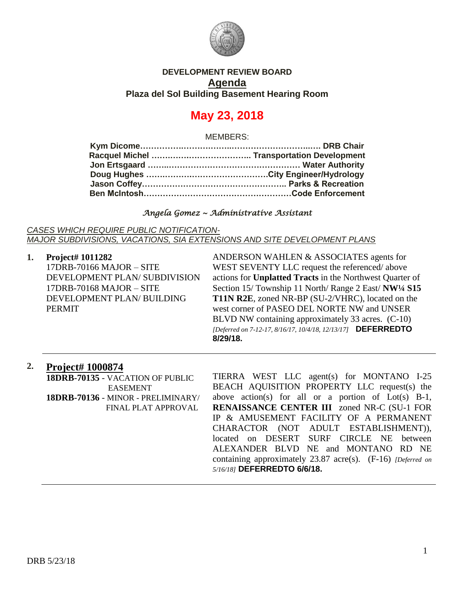

## **DEVELOPMENT REVIEW BOARD Agenda Plaza del Sol Building Basement Hearing Room**

# **May 23, 2018**

MEMBERS:

#### *Angela Gomez ~ Administrative Assistant*

*CASES WHICH REQUIRE PUBLIC NOTIFICATION-MAJOR SUBDIVISIONS, VACATIONS, SIA EXTENSIONS AND SITE DEVELOPMENT PLANS*

**1. Project# 1011282** 17DRB-70166 MAJOR – SITE DEVELOPMENT PLAN/ SUBDIVISION 17DRB-70168 MAJOR – SITE DEVELOPMENT PLAN/ BUILDING PERMIT

ANDERSON WAHLEN & ASSOCIATES agents for WEST SEVENTY LLC request the referenced/ above actions for **Unplatted Tracts** in the Northwest Quarter of Section 15/ Township 11 North/ Range 2 East/ **NW¼ S15 T11N R2E**, zoned NR-BP (SU-2/VHRC), located on the west corner of PASEO DEL NORTE NW and UNSER BLVD NW containing approximately 33 acres. (C-10) *[Deferred on 7-12-17, 8/16/17, 10/4/18, 12/13/17]* **DEFERREDTO 8/29/18.**

# **2. Project# 1000874**

**18DRB-70135** - VACATION OF PUBLIC EASEMENT **18DRB-70136** - MINOR - PRELIMINARY/ FINAL PLAT APPROVAL

TIERRA WEST LLC agent(s) for MONTANO I-25 BEACH AQUISITION PROPERTY LLC request(s) the above action(s) for all or a portion of Lot(s) B-1, **RENAISSANCE CENTER III** zoned NR-C (SU-1 FOR IP & AMUSEMENT FACILITY OF A PERMANENT CHARACTOR (NOT ADULT ESTABLISHMENT)), located on DESERT SURF CIRCLE NE between ALEXANDER BLVD NE and MONTANO RD NE containing approximately 23.87 acre(s). (F-16) *[Deferred on 5/16/18]* **DEFERREDTO 6/6/18.**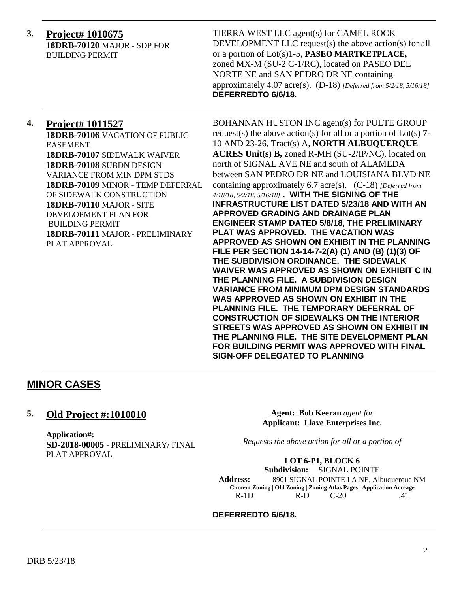**3. Project# 1010675 18DRB-70120** MAJOR - SDP FOR BUILDING PERMIT

TIERRA WEST LLC agent(s) for CAMEL ROCK DEVELOPMENT LLC request(s) the above action(s) for all or a portion of Lot(s)1-5, **PASEO MARTKETPLACE,** zoned MX-M (SU-2 C-1/RC), located on PASEO DEL NORTE NE and SAN PEDRO DR NE containing approximately 4.07 acre(s). (D-18) *[Deferred from 5/2/18, 5/16/18]* **DEFERREDTO 6/6/18.**

# **4. Project# 1011527**

**18DRB-70106** VACATION OF PUBLIC EASEMENT **18DRB-70107** SIDEWALK WAIVER **18DRB-70108** SUBDN DESIGN VARIANCE FROM MIN DPM STDS **18DRB-70109** MINOR - TEMP DEFERRAL OF SIDEWALK CONSTRUCTION **18DRB-70110** MAJOR - SITE DEVELOPMENT PLAN FOR BUILDING PERMIT **18DRB-70111** MAJOR - PRELIMINARY PLAT APPROVAL

BOHANNAN HUSTON INC agent(s) for PULTE GROUP request(s) the above action(s) for all or a portion of  $Lot(s)$  7-10 AND 23-26, Tract(s) A, **NORTH ALBUQUERQUE ACRES Unit(s) B,** zoned R-MH (SU-2/IP/NC), located on north of SIGNAL AVE NE and south of ALAMEDA between SAN PEDRO DR NE and LOUISIANA BLVD NE containing approximately 6.7 acre(s). (C-18) *[Deferred from 4/18/18, 5/2/18, 5/16/18]* **. WITH THE SIGNING OF THE INFRASTRUCTURE LIST DATED 5/23/18 AND WITH AN APPROVED GRADING AND DRAINAGE PLAN ENGINEER STAMP DATED 5/8/18, THE PRELIMINARY PLAT WAS APPROVED. THE VACATION WAS APPROVED AS SHOWN ON EXHIBIT IN THE PLANNING FILE PER SECTION 14-14-7-2(A) (1) AND (B) (1)(3) OF THE SUBDIVISION ORDINANCE. THE SIDEWALK WAIVER WAS APPROVED AS SHOWN ON EXHIBIT C IN THE PLANNING FILE. A SUBDIVISION DESIGN VARIANCE FROM MINIMUM DPM DESIGN STANDARDS WAS APPROVED AS SHOWN ON EXHIBIT IN THE PLANNING FILE. THE TEMPORARY DEFERRAL OF CONSTRUCTION OF SIDEWALKS ON THE INTERIOR STREETS WAS APPROVED AS SHOWN ON EXHIBIT IN THE PLANNING FILE. THE SITE DEVELOPMENT PLAN FOR BUILDING PERMIT WAS APPROVED WITH FINAL SIGN-OFF DELEGATED TO PLANNING**

# **MINOR CASES**

### **5. Old Project #:1010010**

**Application#: SD-2018-00005** - PRELIMINARY/ FINAL PLAT APPROVAL

**Agent: Bob Keeran** *agent for* **Applicant: Llave Enterprises Inc.**

*Requests the above action for all or a portion of*

#### **LOT 6-P1, BLOCK 6**

**Subdivision:** SIGNAL POINTE **Address:** 8901 SIGNAL POINTE LA NE, Albuquerque NM **Current Zoning | Old Zoning | Zoning Atlas Pages | Application Acreage** R-1D R-D C-20 .41

**DEFERREDTO 6/6/18.**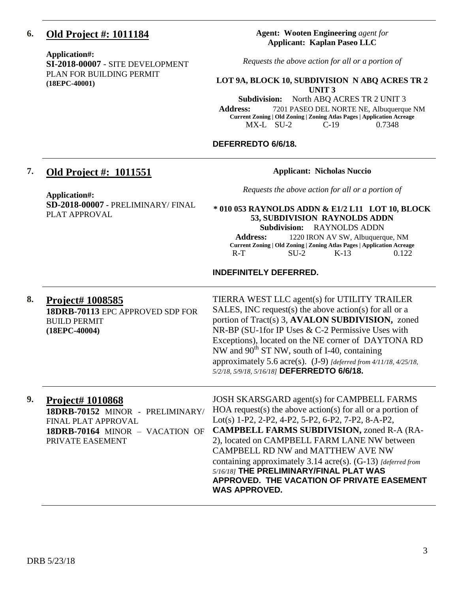# **6. Old Project #: 1011184**

**Application#:** 

**SI-2018-00007** - SITE DEVELOPMENT PLAN FOR BUILDING PERMIT **(18EPC-40001)**

#### **Agent: Wooten Engineering** *agent for* **Applicant: Kaplan Paseo LLC**

*Requests the above action for all or a portion of*

#### **LOT 9A, BLOCK 10, SUBDIVISION N ABQ ACRES TR 2 UNIT 3**

**Subdivision:** North ABQ ACRES TR 2 UNIT 3 **Address:** 7201 PASEO DEL NORTE NE, Albuquerque NM **Current Zoning | Old Zoning | Zoning Atlas Pages | Application Acreage** MX-L SU-2 C-19 0.7348

### **DEFERREDTO 6/6/18.**

# **7. Old Project #: 1011551**

#### **Applicant: Nicholas Nuccio**

*Requests the above action for all or a portion of*

**Application#: SD-2018-00007 -** PRELIMINARY/ FINAL PLAT APPROVAL

**\* 010 053 RAYNOLDS ADDN & E1/2 L11 LOT 10, BLOCK 53, SUBDIVISION RAYNOLDS ADDN Subdivision:** RAYNOLDS ADDN

Address: 1220 IRON AV SW, Albuquerque, NM **Current Zoning | Old Zoning | Zoning Atlas Pages | Application Acreage** R-T SU-2 K-13 0.122

#### **INDEFINITELY DEFERRED.**

**8. Project# 1008585 18DRB-70113** EPC APPROVED SDP FOR BUILD PERMIT **(18EPC-40004)**

TIERRA WEST LLC agent(s) for UTILITY TRAILER SALES, INC request(s) the above action(s) for all or a portion of Tract(s) 3, **AVALON SUBDIVISION,** zoned NR-BP (SU-1for IP Uses & C-2 Permissive Uses with Exceptions), located on the NE corner of DAYTONA RD NW and  $90^{th}$  ST NW, south of I-40, containing approximately 5.6 acre(s). (J-9) *[deferred from 4/11/18, 4/25/18, 5/2/18, 5/9/18, 5/16/18]* **DEFERREDTO 6/6/18.**

| 9. | <b>Project# 1010868</b><br>18DRB-70152 MINOR - PRELIMINARY/<br>FINAL PLAT APPROVAL<br>18DRB-70164 MINOR - VACATION OF<br>PRIVATE EASEMENT | JOSH SKARSGARD agent(s) for CAMPBELL FARMS<br>HOA request(s) the above action(s) for all or a portion of<br>Lot(s) 1-P2, 2-P2, 4-P2, 5-P2, 6-P2, 7-P2, 8-A-P2,<br><b>CAMPBELL FARMS SUBDIVISION, zoned R-A (RA-</b><br>2), located on CAMPBELL FARM LANE NW between<br>CAMPBELL RD NW and MATTHEW AVE NW<br>containing approximately 3.14 acre(s). (G-13) [deferred from<br>5/16/18] THE PRELIMINARY/FINAL PLAT WAS<br>APPROVED. THE VACATION OF PRIVATE EASEMENT<br><b>WAS APPROVED.</b> |
|----|-------------------------------------------------------------------------------------------------------------------------------------------|-------------------------------------------------------------------------------------------------------------------------------------------------------------------------------------------------------------------------------------------------------------------------------------------------------------------------------------------------------------------------------------------------------------------------------------------------------------------------------------------|
|----|-------------------------------------------------------------------------------------------------------------------------------------------|-------------------------------------------------------------------------------------------------------------------------------------------------------------------------------------------------------------------------------------------------------------------------------------------------------------------------------------------------------------------------------------------------------------------------------------------------------------------------------------------|